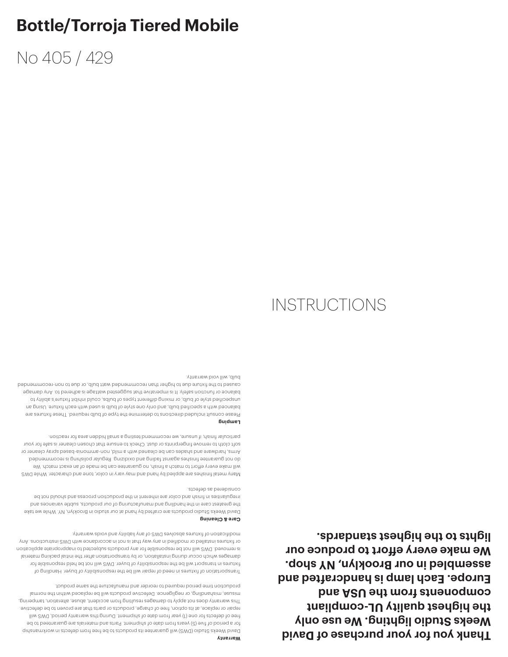**Thank you for your purchase of David Weeks Studio lighting. We use only the highest quality UL-compliant**  component *the USA* and *but and the ASU* and **Europe. Each lamp is handcrafted and assembled in our Brooklyn, NY shop. We make every effort to produce our lights to the highest standards.**

Transportation of fixtures in need of repair will be the responsibility of buyer. Handling of fixtures in transport will be the responsibility of buyer. DWS will not be held responsible for damages which occur during installation, or by transportation after the initial packing material is removed. DWS will not be responsible for any products subjected to inappropriate application or fixtures installed or modified in any way that is not in accordance with DWS instructions. Any modification of fixtures absolves DWS of any liability and voids warranty.

David Weeks Studio (DWS) will guarantee its products to be free from defects in workmanship for a period of five (5) years from date of shipment. Parts and materials are guaranteed to be free of defects for one (1) year from date of shipment. During this warranty period, DWS will repair or replace, at its option, free of charge, products or parts that are proven to be defective. This warranty does not apply to damages resulting from accident, abuse, alteration, tampering, misuse, mishandling, or negligence. Defective products will be replaced within the normal production time period required to reorder and manufacture the same product.

### **Care & Cleaning**

**Warranty**

David Weeks Studio products are crafted by hand at our studio in Brooklyn, NY. While we take the greatest care in the handling and manufacturing of our products, subtle variances and irregularities in finish and color are inherent in the production process and should not be considered as defects.

Many metal finishes are applied by hand and may vary in color, tone and character. While DWS will make every effort to match a finish, no guarantee can be made of an exact match. We do not guarantee finishes against fading and oxidizing. Regular polishing is recommended. Arms, hardware and shades can be cleaned with a mild, non-ammonia-based spray cleaner or soft cloth to remove fingerprints or dust. Check to ensure that chosen cleaner is safe for your particular finish; if unsure, we recommend testing a small hidden area for reaction.

#### **Lamping**

Please consult included directions to determine the type of bulb required. These fixtures are balanced with a specified bulb, and only one style of bulb is used with each fixture. Using an unspecified style of bulb, or mixing different types of bulbs, could inhibit fixture's ability to balance or function safely. It is imperative that suggested wattage is adhered to. Any damage caused to the fixture due to higher than recommended watt bulb, or due to non-recommended bulb, will void warranty.

## **INSTRUCTIONS**

# No 405 / 429

**Bottle/Torroja Tiered Mobile**